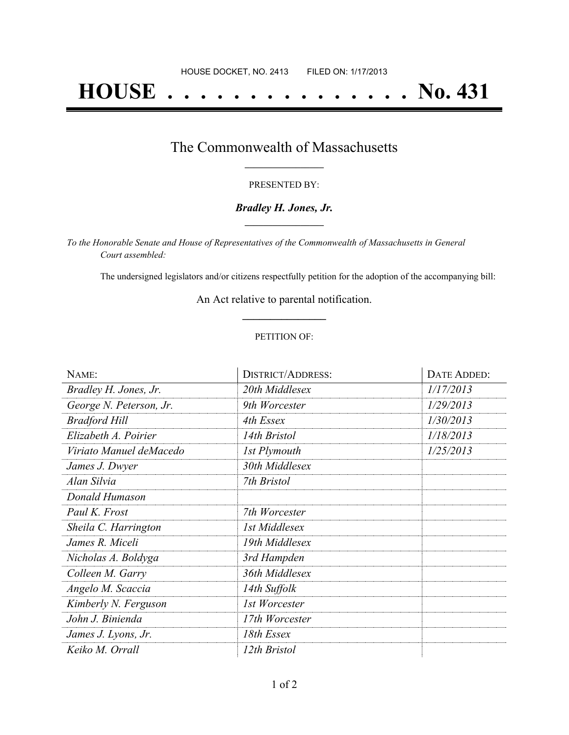# **HOUSE . . . . . . . . . . . . . . . No. 431**

### The Commonwealth of Massachusetts **\_\_\_\_\_\_\_\_\_\_\_\_\_\_\_\_\_**

#### PRESENTED BY:

#### *Bradley H. Jones, Jr.* **\_\_\_\_\_\_\_\_\_\_\_\_\_\_\_\_\_**

*To the Honorable Senate and House of Representatives of the Commonwealth of Massachusetts in General Court assembled:*

The undersigned legislators and/or citizens respectfully petition for the adoption of the accompanying bill:

An Act relative to parental notification. **\_\_\_\_\_\_\_\_\_\_\_\_\_\_\_**

#### PETITION OF:

| NAME:                   | <b>DISTRICT/ADDRESS:</b> | DATE ADDED: |
|-------------------------|--------------------------|-------------|
| Bradley H. Jones, Jr.   | 20th Middlesex           | 1/17/2013   |
| George N. Peterson, Jr. | 9th Worcester            | 1/29/2013   |
| <b>Bradford Hill</b>    | 4th Essex                | 1/30/2013   |
| Elizabeth A. Poirier    | 14th Bristol             | 1/18/2013   |
| Viriato Manuel deMacedo | 1st Plymouth             | 1/25/2013   |
| James J. Dwyer          | 30th Middlesex           |             |
| Alan Silvia             | 7th Bristol              |             |
| Donald Humason          |                          |             |
| Paul K. Frost           | 7th Worcester            |             |
| Sheila C. Harrington    | 1st Middlesex            |             |
| James R. Miceli         | 19th Middlesex           |             |
| Nicholas A. Boldyga     | 3rd Hampden              |             |
| Colleen M. Garry        | 36th Middlesex           |             |
| Angelo M. Scaccia       | 14th Suffolk             |             |
| Kimberly N. Ferguson    | 1st Worcester            |             |
| John J. Binienda        | 17th Worcester           |             |
| James J. Lyons, Jr.     | 18th Essex               |             |
| Keiko M. Orrall         | 12th Bristol             |             |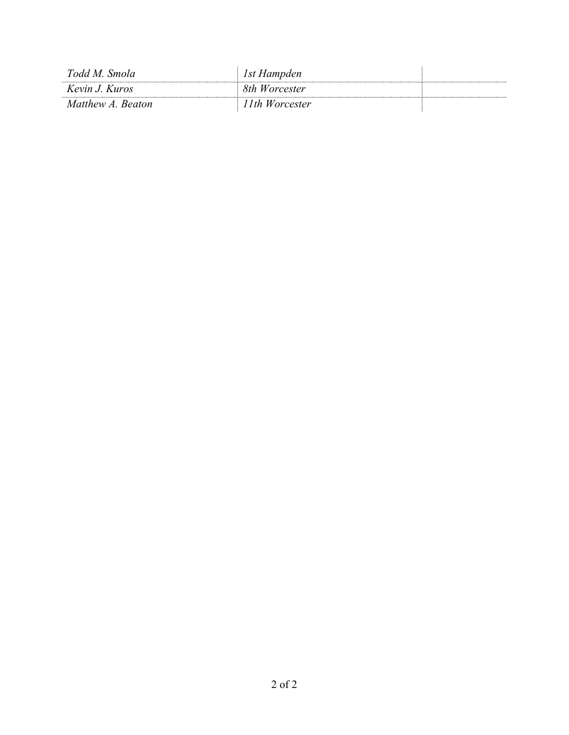| Todd M. Smola     | 1st Hampden    |  |
|-------------------|----------------|--|
| Kevin J. Kuros    | 8th Worcester  |  |
| Matthew A. Beaton | 11th Worcester |  |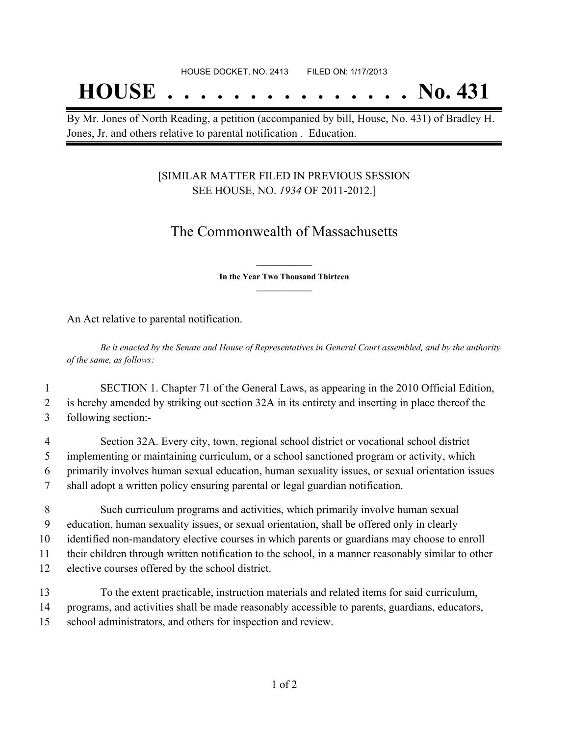## **HOUSE . . . . . . . . . . . . . . . No. 431**

By Mr. Jones of North Reading, a petition (accompanied by bill, House, No. 431) of Bradley H. Jones, Jr. and others relative to parental notification . Education.

#### [SIMILAR MATTER FILED IN PREVIOUS SESSION SEE HOUSE, NO. *1934* OF 2011-2012.]

## The Commonwealth of Massachusetts

**\_\_\_\_\_\_\_\_\_\_\_\_\_\_\_ In the Year Two Thousand Thirteen \_\_\_\_\_\_\_\_\_\_\_\_\_\_\_**

An Act relative to parental notification.

Be it enacted by the Senate and House of Representatives in General Court assembled, and by the authority *of the same, as follows:*

1 SECTION 1. Chapter 71 of the General Laws, as appearing in the 2010 Official Edition, 2 is hereby amended by striking out section 32A in its entirety and inserting in place thereof the 3 following section:-

 Section 32A. Every city, town, regional school district or vocational school district implementing or maintaining curriculum, or a school sanctioned program or activity, which primarily involves human sexual education, human sexuality issues, or sexual orientation issues shall adopt a written policy ensuring parental or legal guardian notification.

 Such curriculum programs and activities, which primarily involve human sexual education, human sexuality issues, or sexual orientation, shall be offered only in clearly identified non-mandatory elective courses in which parents or guardians may choose to enroll their children through written notification to the school, in a manner reasonably similar to other elective courses offered by the school district.

13 To the extent practicable, instruction materials and related items for said curriculum, 14 programs, and activities shall be made reasonably accessible to parents, guardians, educators, 15 school administrators, and others for inspection and review.